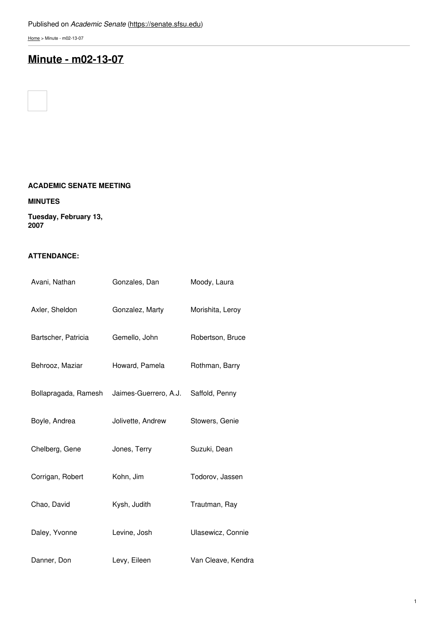[Home](https://senate.sfsu.edu/) > Minute - m02-13-07

# **Minute - [m02-13-07](https://senate.sfsu.edu/content/minute-m02-13-07)**

## **ACADEMIC SENATE MEETING**

#### **MINUTES**

**Tuesday, February 13, 2007**

## **ATTENDANCE:**

| Avani, Nathan        | Gonzales, Dan         | Moody, Laura       |
|----------------------|-----------------------|--------------------|
| Axler, Sheldon       | Gonzalez, Marty       | Morishita, Leroy   |
| Bartscher, Patricia  | Gemello, John         | Robertson, Bruce   |
| Behrooz, Maziar      | Howard, Pamela        | Rothman, Barry     |
| Bollapragada, Ramesh | Jaimes-Guerrero, A.J. | Saffold, Penny     |
| Boyle, Andrea        | Jolivette, Andrew     | Stowers, Genie     |
| Chelberg, Gene       | Jones, Terry          | Suzuki, Dean       |
| Corrigan, Robert     | Kohn, Jim             | Todorov, Jassen    |
| Chao, David          | Kysh, Judith          | Trautman, Ray      |
| Daley, Yvonne        | Levine, Josh          | Ulasewicz, Connie  |
| Danner, Don          | Levy, Eileen          | Van Cleave, Kendra |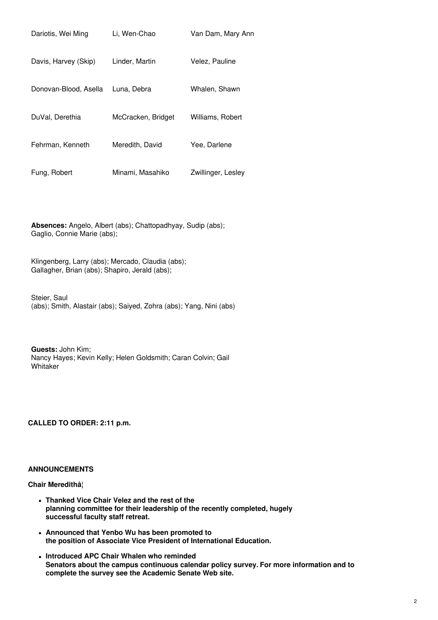| Dariotis, Wei Ming    | Li, Wen-Chao       | Van Dam, Mary Ann  |
|-----------------------|--------------------|--------------------|
| Davis, Harvey (Skip)  | Linder, Martin     | Velez, Pauline     |
| Donovan-Blood, Asella | Luna, Debra        | Whalen, Shawn      |
| DuVal, Derethia       | McCracken, Bridget | Williams, Robert   |
| Fehrman, Kenneth      | Meredith, David    | Yee, Darlene       |
| Fung, Robert          | Minami, Masahiko   | Zwillinger, Lesley |

**Absences:** Angelo, Albert (abs); Chattopadhyay, Sudip (abs); Gaglio, Connie Marie (abs);

Klingenberg, Larry (abs); Mercado, Claudia (abs); Gallagher, Brian (abs); Shapiro, Jerald (abs);

Steier, Saul (abs); Smith, Alastair (abs); Saiyed, Zohra (abs); Yang, Nini (abs)

**Guests:** John Kim; Nancy Hayes; Kevin Kelly; Helen Goldsmith; Caran Colvin; Gail Whitaker

**CALLED TO ORDER: 2:11 p.m.**

### **ANNOUNCEMENTS**

### **Chair Meredithâ¦**

- **Thanked Vice Chair Velez and the rest of the planning committee for their leadership of the recently completed, hugely successful faculty staff retreat.**
- **Announced that Yenbo Wu has been promoted to the position of Associate Vice President of International Education.**
- **Introduced APC Chair Whalen who reminded Senators about the campus continuous calendar policy survey. For more information and to complete the survey see the Academic Senate Web site.**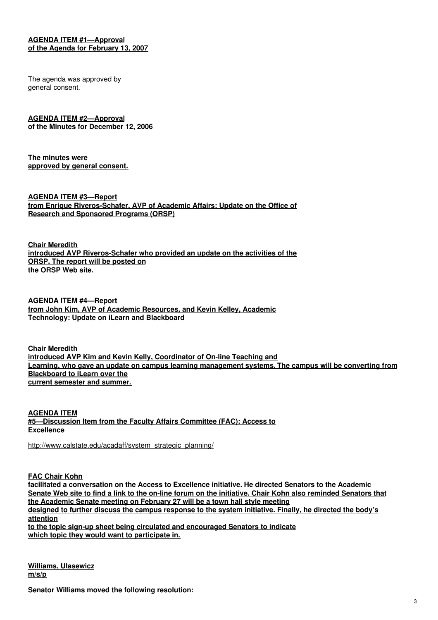## **AGENDA ITEM #1—Approval of the Agenda for February 13, 2007**

The agenda was approved by general consent.

**AGENDA ITEM #2—Approval of the Minutes for December 12, 2006**

**The minutes were approved by general consent.**

**AGENDA ITEM #3—Report from Enrique Riveros-Schafer, AVP of Academic Affairs: Update on the Office of Research and Sponsored Programs (ORSP)**

**Chair Meredith introduced AVP Riveros-Schafer who provided an update on the activities of the ORSP. The report will be posted on the ORSP Web site.**

**AGENDA ITEM #4—Report from John Kim, AVP of Academic Resources, and Kevin Kelley, Academic Technology: Update on iLearn and Blackboard**

**Chair Meredith introduced AVP Kim and Kevin Kelly, Coordinator of On-line Teaching and Learning, who gave an update on campus learning management systems. The campus will be converting from Blackboard to iLearn over the current semester and summer.**

**AGENDA ITEM #5—Discussion Item from the Faculty Affairs Committee (FAC): Access to Excellence**

[http://www.calstate.edu/acadaff/system\\_strategic\\_planning/](http://www.calstate.edu/acadaff/system_strategic_planning/)

**FAC Chair Kohn**

**facilitated a conversation on the Access to Excellence initiative. He directed Senators to the Academic** Senate Web site to find a link to the on-line forum on the initiative. Chair Kohn also reminded Senators that **the Academic Senate meeting on February 27 will be a town hall style meeting designed to further discuss the campus response to the system initiative. Finally, he directed the body's attention to the topic sign-up sheet being circulated and encouraged Senators to indicate which topic they would want to participate in.**

**Williams, Ulasewicz m/s/p**

**Senator Williams moved the following resolution:**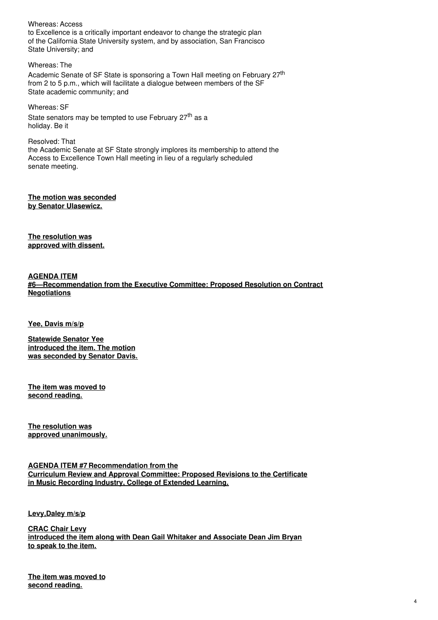### Whereas: Access

to Excellence is a critically important endeavor to change the strategic plan of the California State University system, and by association, San Francisco State University; and

Whereas: The Academic Senate of SF State is sponsoring a Town Hall meeting on February 27<sup>th</sup> from 2 to 5 p.m., which will facilitate a dialogue between members of the SF State academic community; and

Whereas: SF State senators may be tempted to use February 27<sup>th</sup> as a holiday. Be it

Resolved: That the Academic Senate at SF State strongly implores its membership to attend the Access to Excellence Town Hall meeting in lieu of a regularly scheduled senate meeting.

**The motion was seconded by Senator Ulasewicz.**

**The resolution was approved with dissent.**

**AGENDA ITEM #6—Recommendation from the Executive Committee: Proposed Resolution on Contract Negotiations**

**Yee, Davis m/s/p**

**Statewide Senator Yee introduced the item. The motion was seconded by Senator Davis.**

**The item was moved to second reading.**

**The resolution was approved unanimously.**

**AGENDA ITEM #7 Recommendation from the Curriculum Review and Approval Committee: Proposed Revisions to the Certificate in Music Recording Industry, College of Extended Learning.**

**Levy,Daley m/s/p**

**CRAC Chair Levy introduced the item along with Dean Gail Whitaker and Associate Dean Jim Bryan to speak to the item.**

**The item was moved to second reading.**